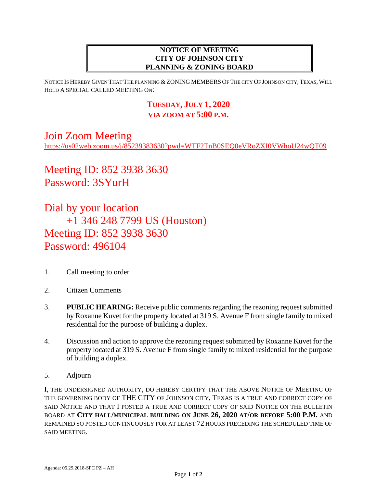## **NOTICE OF MEETING CITY OF JOHNSON CITY PLANNING & ZONING BOARD**

NOTICE IS HEREBY GIVEN THAT THE PLANNING & ZONING MEMBERS OF THE CITY OF JOHNSON CITY, TEXAS, WILL HOLD A SPECIAL CALLED MEETING ON:

## **TUESDAY, JULY 1, 2020 VIA ZOOM AT 5:00 P.M.**

## Join Zoom Meeting

<https://us02web.zoom.us/j/85239383630?pwd=WTF2TnB0SEQ0eVRoZXI0VWhoU24wQT09>

Meeting ID: 852 3938 3630 Password: 3SYurH

Dial by your location +1 346 248 7799 US (Houston) Meeting ID: 852 3938 3630 Password: 496104

- 1. Call meeting to order
- 2. Citizen Comments
- 3. **PUBLIC HEARING:** Receive public comments regarding the rezoning request submitted by Roxanne Kuvet for the property located at 319 S. Avenue F from single family to mixed residential for the purpose of building a duplex.
- 4. Discussion and action to approve the rezoning request submitted by Roxanne Kuvet for the property located at 319 S. Avenue F from single family to mixed residential for the purpose of building a duplex.
- 5. Adjourn

I, THE UNDERSIGNED AUTHORITY, DO HEREBY CERTIFY THAT THE ABOVE NOTICE OF MEETING OF THE GOVERNING BODY OF THE CITY OF JOHNSON CITY, TEXAS IS A TRUE AND CORRECT COPY OF SAID NOTICE AND THAT I POSTED A TRUE AND CORRECT COPY OF SAID NOTICE ON THE BULLETIN BOARD AT **CITY HALL/MUNICIPAL BUILDING ON JUNE 26, 2020 AT/OR BEFORE 5:00 P.M.** AND REMAINED SO POSTED CONTINUOUSLY FOR AT LEAST 72 HOURS PRECEDING THE SCHEDULED TIME OF SAID MEETING.